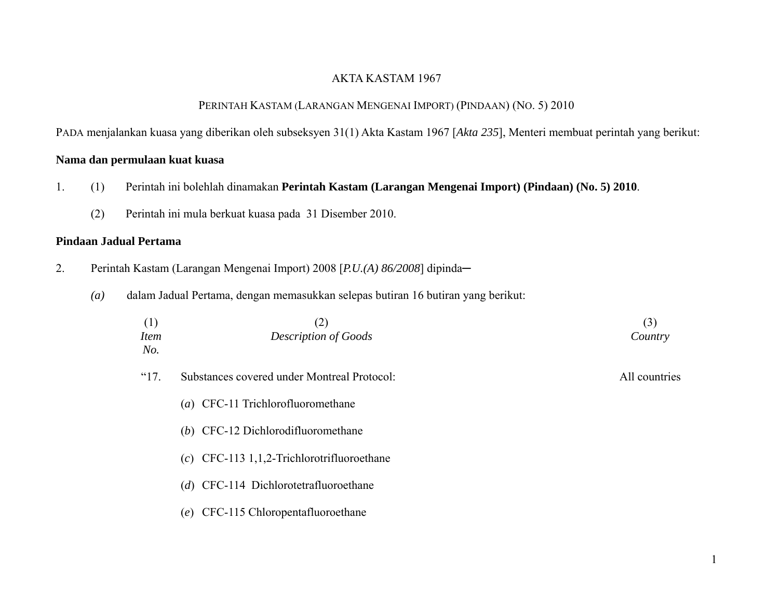## AKTA KASTAM 1967

## PERINTAH KASTAM (LARANGAN MENGENAI IMPORT) (PINDAAN) (NO. 5) 2010

PADA menjalankan kuasa yang diberikan oleh subseksyen 31(1) Akta Kastam 1967 [*Akta 235*], Menteri membuat perintah yang berikut:

# **Nama dan permulaan kuat kuasa**

- 1. (1) Perintah ini bolehlah dinamakan **Perintah Kastam (Larangan Mengenai Import) (Pindaan) (No. 5) 2010**.
	- (2) Perintah ini mula berkuat kuasa pada 31 Disember 2010.

### **Pindaan Jadual Pertama**

- 2. Perintah Kastam (Larangan Mengenai Import) 2008 [P.U.(A) 86/2008] dipinda-
	- *(a)* dalam Jadual Pertama, dengan memasukkan selepas butiran 16 butiran yang berikut:

| (1)<br><i>Item</i><br>No. | (2)<br><b>Description of Goods</b>           | (3)<br>Country |
|---------------------------|----------------------------------------------|----------------|
| $^{\circ}17.$             | Substances covered under Montreal Protocol:  | All countries  |
|                           | (a) CFC-11 Trichlorofluoromethane            |                |
|                           | (b) CFC-12 Dichlorodifluoromethane           |                |
|                           | $(c)$ CFC-113 1,1,2-Trichlorotrifluoroethane |                |
|                           | (d) CFC-114 Dichlorotetrafluoroethane        |                |
|                           | CFC-115 Chloropentafluoroethane<br>(e)       |                |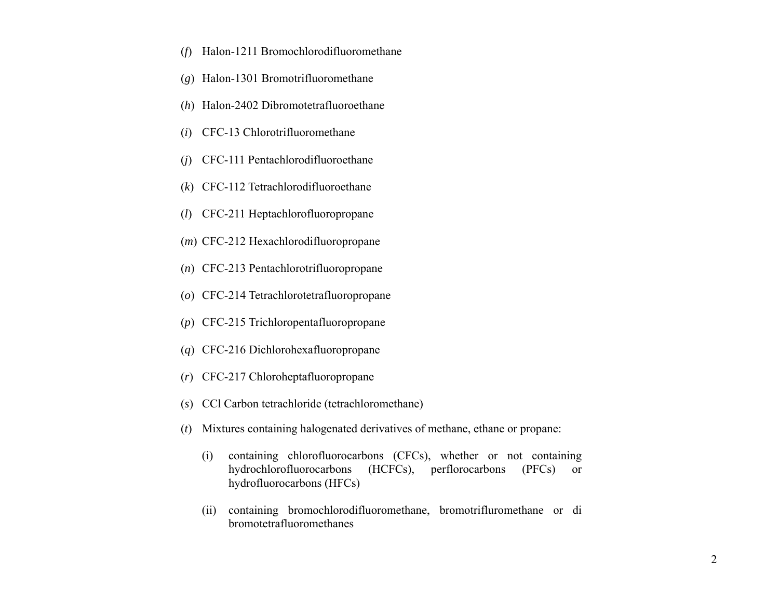- (*f*) Halon-1211 Bromochlorodifluoromethane
- (*g*) Halon-1301 Bromotrifluoromethane
- (*h*) Halon-2402 Dibromotetrafluoroethane
- (*i*) CFC-13 Chlorotrifluoromethane
- (*j*) CFC-111 Pentachlorodifluoroethane
- (*k*) CFC-112 Tetrachlorodifluoroethane
- (*l*) CFC-211 Heptachlorofluoropropane
- (*m*) CFC-212 Hexachlorodifluoropropane
- (*n*) CFC-213 Pentachlorotrifluoropropane
- (*o*) CFC-214 Tetrachlorotetrafluoropropane
- (*p*) CFC-215 Trichloropentafluoropropane
- (*q*) CFC-216 Dichlorohexafluoropropane
- (*r*) CFC-217 Chloroheptafluoropropane
- (*s*) CCl Carbon tetrachloride (tetrachloromethane)
- (*t*) Mixtures containing halogenated derivatives of methane, ethane or propane:
	- (i) containing chlorofluorocarbons (CFCs), whether or not containing hydrochlorofluorocarbons (HCFCs), perflorocarbons (PFCs) or hydrofluorocarbons (HFCs)
	- (ii) containing bromochlorodifluoromethane, bromotrifluromethane or di bromotetrafluoromethanes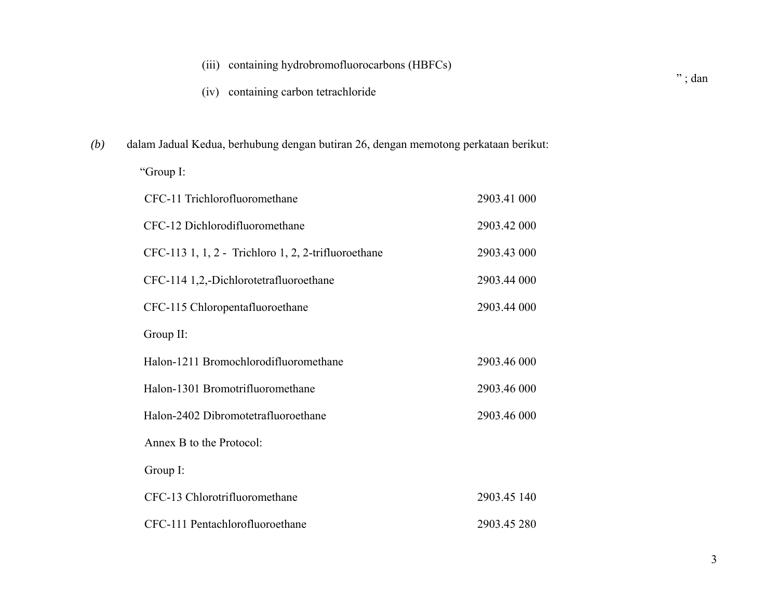|     | (iv) containing carbon tetrachloride                                                |             | $"$ ; dan |
|-----|-------------------------------------------------------------------------------------|-------------|-----------|
| (b) | dalam Jadual Kedua, berhubung dengan butiran 26, dengan memotong perkataan berikut: |             |           |
|     | "Group I:                                                                           |             |           |
|     | CFC-11 Trichlorofluoromethane                                                       | 2903.41 000 |           |
|     | CFC-12 Dichlorodifluoromethane                                                      | 2903.42 000 |           |
|     | CFC-113 1, 1, 2 - Trichloro 1, 2, 2-trifluoroethane                                 | 2903.43 000 |           |
|     | CFC-114 1,2,-Dichlorotetrafluoroethane                                              | 2903.44 000 |           |
|     | CFC-115 Chloropentafluoroethane                                                     | 2903.44 000 |           |
|     | Group II:                                                                           |             |           |
|     | Halon-1211 Bromochlorodifluoromethane                                               | 2903.46 000 |           |
|     | Halon-1301 Bromotrifluoromethane                                                    | 2903.46 000 |           |
|     | Halon-2402 Dibromotetrafluoroethane                                                 | 2903.46 000 |           |
|     | Annex B to the Protocol:                                                            |             |           |
|     | Group I:                                                                            |             |           |
|     | CFC-13 Chlorotrifluoromethane                                                       | 2903.45 140 |           |
|     | CFC-111 Pentachlorofluoroethane                                                     | 2903.45 280 |           |

(iii) containing hydrobromofluorocarbons (HBFCs)

3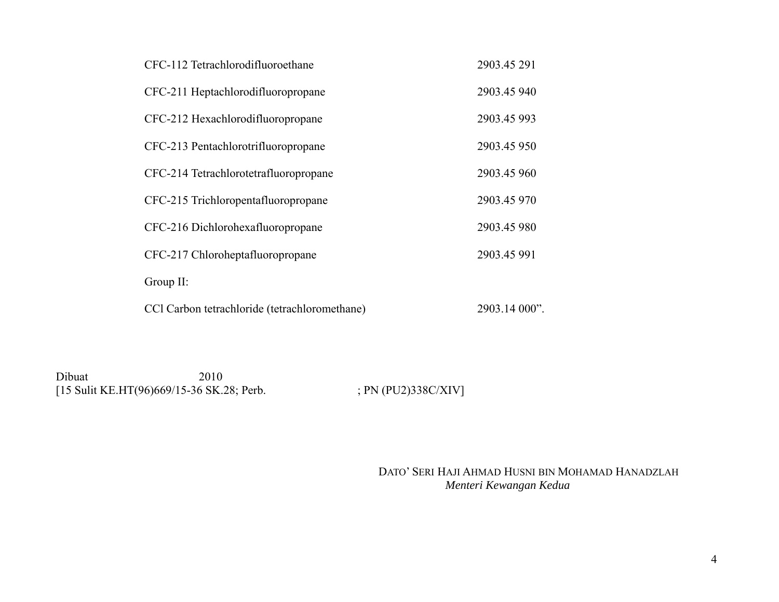| CFC-112 Tetrachlorodifluoroethane             | 2903.45 291   |
|-----------------------------------------------|---------------|
| CFC-211 Heptachlorodifluoropropane            | 2903.45 940   |
| CFC-212 Hexachlorodifluoropropane             | 2903.45 993   |
| CFC-213 Pentachlorotrifluoropropane           | 2903.45 950   |
| CFC-214 Tetrachlorotetrafluoropropane         | 2903.45 960   |
| CFC-215 Trichloropentafluoropropane           | 2903.45 970   |
| CFC-216 Dichlorohexafluoropropane             | 2903.45 980   |
| CFC-217 Chloroheptafluoropropane              | 2903.45 991   |
| Group II:                                     |               |
| CCl Carbon tetrachloride (tetrachloromethane) | 2903.14 000". |

Dibuat 2010 [15 Sulit KE.HT(96)669/15-36 SK.28; Perb. ; PN (PU2)338C/XIV]

 DATO' SERI HAJI AHMAD HUSNI BIN MOHAMAD HANADZLAH  *Menteri Kewangan Kedua*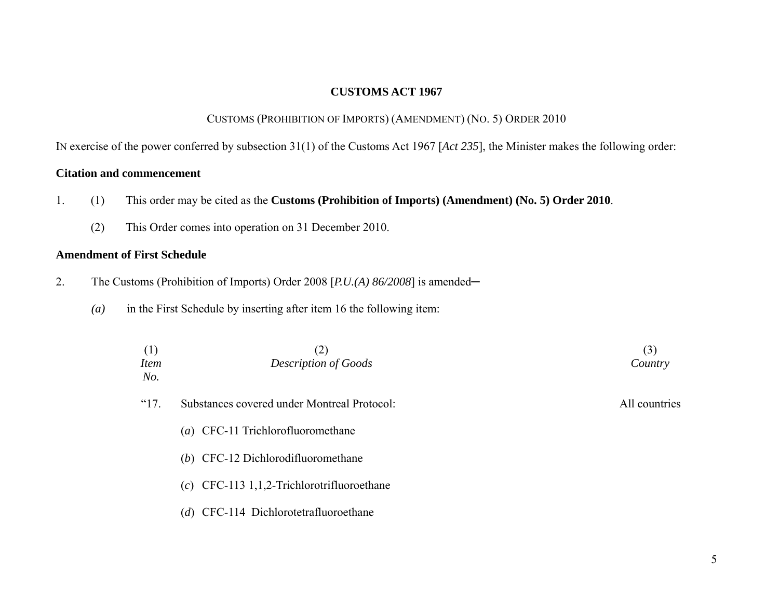### **CUSTOMS ACT 1967**

# CUSTOMS (PROHIBITION OF IMPORTS) (AMENDMENT) (NO. 5) ORDER 2010

IN exercise of the power conferred by subsection 31(1) of the Customs Act 1967 [*Act 235*], the Minister makes the following order:

## **Citation and commencement**

- 1. (1) This order may be cited as the **Customs (Prohibition of Imports) (Amendment) (No. 5) Order 2010**.
	- (2) This Order comes into operation on 31 December 2010.

### **Amendment of First Schedule**

- 2. The Customs (Prohibition of Imports) Order 2008 [P.U.(A) 86/2008] is amended—
	- *(a)* in the First Schedule by inserting after item 16 the following item:

| (1)<br><b>Item</b><br>No. | (2)<br><b>Description of Goods</b>           | (3)<br>Country |
|---------------------------|----------------------------------------------|----------------|
| "17.                      | Substances covered under Montreal Protocol:  | All countries  |
|                           | (a) CFC-11 Trichlorofluoromethane            |                |
|                           | (b) CFC-12 Dichlorodifluoromethane           |                |
|                           | $(c)$ CFC-113 1,1,2-Trichlorotrifluoroethane |                |
|                           | (d) CFC-114 Dichlorotetrafluoroethane        |                |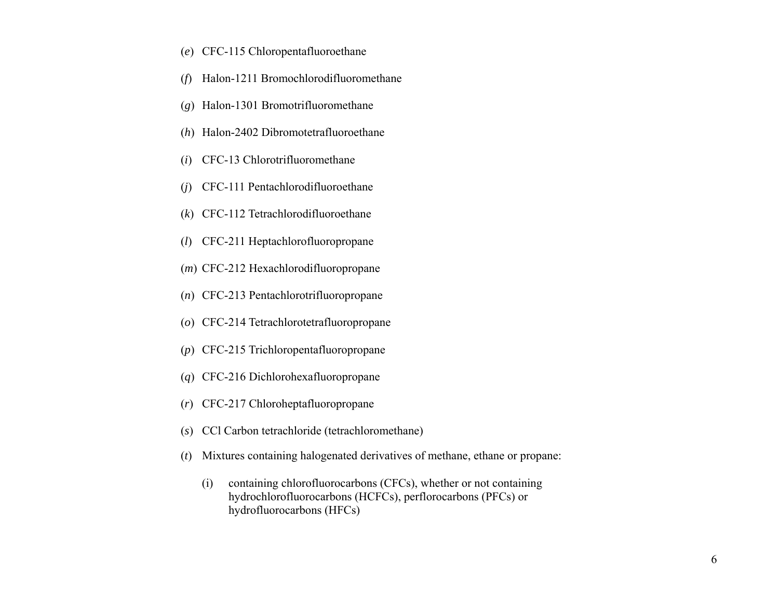- (*e*) CFC-115 Chloropentafluoroethane
- (*f*) Halon-1211 Bromochlorodifluoromethane
- (*g*) Halon-1301 Bromotrifluoromethane
- (*h*) Halon-2402 Dibromotetrafluoroethane
- (*i*) CFC-13 Chlorotrifluoromethane
- (*j*) CFC-111 Pentachlorodifluoroethane
- (*k*) CFC-112 Tetrachlorodifluoroethane
- (*l*) CFC-211 Heptachlorofluoropropane
- (*m*) CFC-212 Hexachlorodifluoropropane
- (*n*) CFC-213 Pentachlorotrifluoropropane
- (*o*) CFC-214 Tetrachlorotetrafluoropropane
- (*p*) CFC-215 Trichloropentafluoropropane
- (*q*) CFC-216 Dichlorohexafluoropropane
- (*r*) CFC-217 Chloroheptafluoropropane
- (*s*) CCl Carbon tetrachloride (tetrachloromethane)
- (*t*) Mixtures containing halogenated derivatives of methane, ethane or propane:
	- (i) containing chlorofluorocarbons (CFCs), whether or not containing hydrochlorofluorocarbons (HCFCs), perflorocarbons (PFCs) or hydrofluorocarbons (HFCs)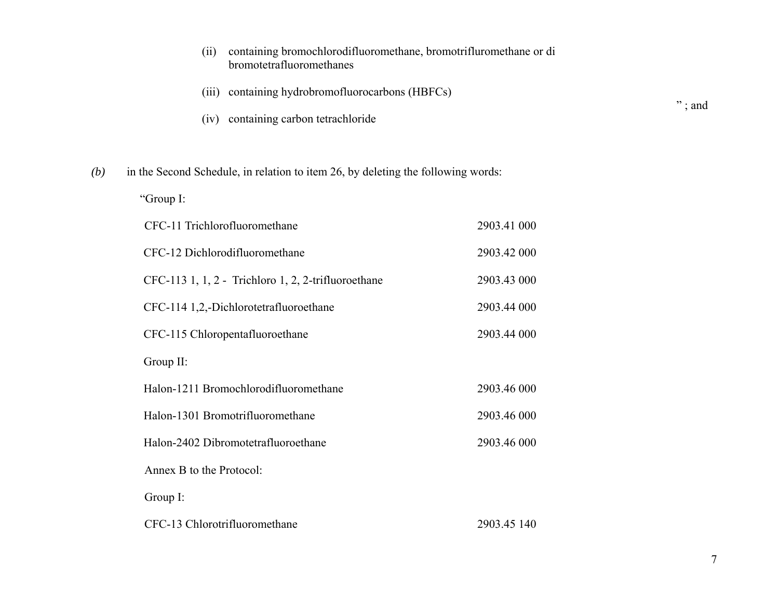|     | (ii)<br>bromotetrafluoromethanes                                                 |                                            | containing bromochlorodifluoromethane, bromotrifluromethane or di |             |
|-----|----------------------------------------------------------------------------------|--------------------------------------------|-------------------------------------------------------------------|-------------|
|     | (iii)                                                                            | containing hydrobromofluorocarbons (HBFCs) |                                                                   |             |
|     | containing carbon tetrachloride<br>(iv)                                          |                                            |                                                                   | $"\,$ ; and |
| (b) | in the Second Schedule, in relation to item 26, by deleting the following words: |                                            |                                                                   |             |
|     | "Group I:                                                                        |                                            |                                                                   |             |
|     | CFC-11 Trichlorofluoromethane                                                    |                                            | 2903.41 000                                                       |             |
|     | CFC-12 Dichlorodifluoromethane                                                   |                                            | 2903.42 000                                                       |             |
|     | CFC-113 1, 1, 2 - Trichloro 1, 2, 2-trifluoroethane                              |                                            | 2903.43 000                                                       |             |
|     | CFC-114 1,2,-Dichlorotetrafluoroethane                                           |                                            | 2903.44 000                                                       |             |
|     | CFC-115 Chloropentafluoroethane                                                  |                                            | 2903.44 000                                                       |             |
|     | Group II:                                                                        |                                            |                                                                   |             |
|     | Halon-1211 Bromochlorodifluoromethane                                            |                                            | 2903.46 000                                                       |             |
|     | Halon-1301 Bromotrifluoromethane                                                 |                                            | 2903.46 000                                                       |             |
|     | Halon-2402 Dibromotetrafluoroethane                                              |                                            | 2903.46 000                                                       |             |
|     | Annex B to the Protocol:                                                         |                                            |                                                                   |             |
|     | Group I:                                                                         |                                            |                                                                   |             |
|     | CFC-13 Chlorotrifluoromethane                                                    |                                            | 2903.45 140                                                       |             |